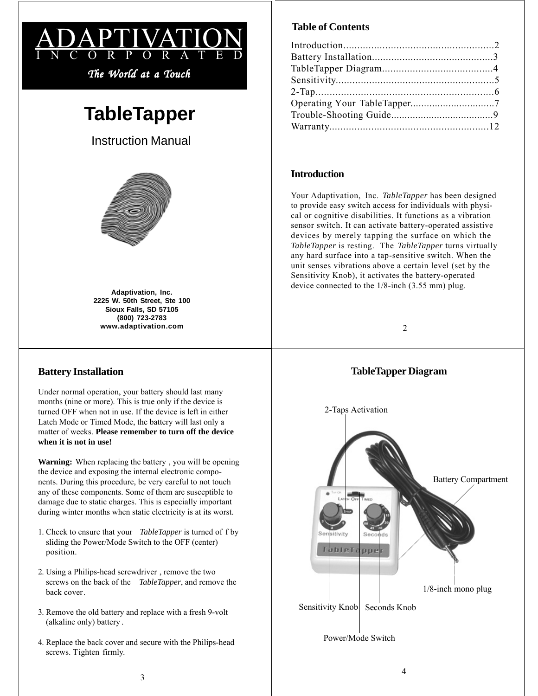

# **TableTapper**

Instruction Manual



**Adaptivation, Inc. 2225 W. 50th Street, Ste 100 Sioux Falls, SD 57105 (800) 723-2783 www.adaptivation.com**

## **Battery Installation**

Under normal operation, your battery should last many months (nine or more). This is true only if the device is turned OFF when not in use. If the device is left in either Latch Mode or Timed Mode, the battery will last only a matter of weeks. **Please remember to turn off the device when it is not in use!**

**Warning:** When replacing the battery , you will be opening the device and exposing the internal electronic components. During this procedure, be very careful to not touch any of these components. Some of them are susceptible to damage due to static charges. This is especially important during winter months when static electricity is at its worst.

- 1. Check to ensure that your *TableTapper* is turned of f by sliding the Power/Mode Switch to the OFF (center) position.
- 2. Using a Philips-head screwdriver , remove the two screws on the back of the *TableTapper*, and remove the back cover.
- 3. Remove the old battery and replace with a fresh 9-volt (alkaline only) battery .
- 4. Replace the back cover and secure with the Philips-head screws. Tighten firmly.

# **Table of Contents**

## **Introduction**

Your Adaptivation, Inc. *TableTapper* has been designed to provide easy switch access for individuals with physical or cognitive disabilities. It functions as a vibration sensor switch. It can activate battery-operated assistive devices by merely tapping the surface on which the *TableTapper* is resting. The *TableTapper* turns virtually any hard surface into a tap-sensitive switch. When the unit senses vibrations above a certain level (set by the Sensitivity Knob), it activates the battery-operated device connected to the 1/8-inch (3.55 mm) plug.

## $\mathfrak{D}$

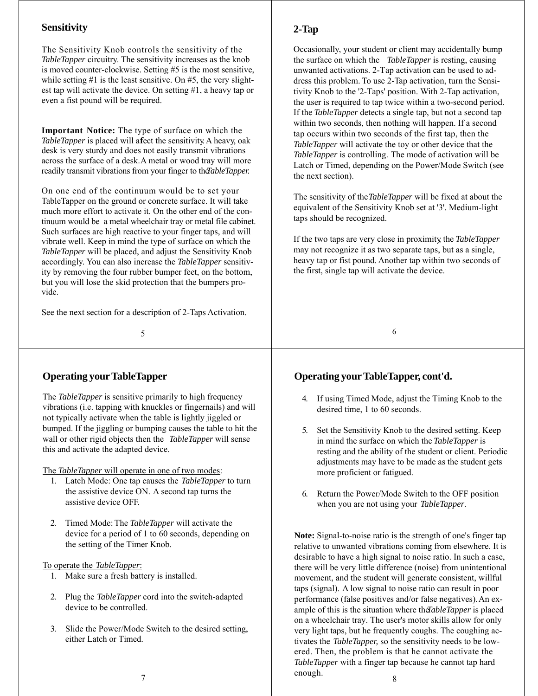## **Sensitivity**

The Sensitivity Knob controls the sensitivity of the *TableTapper* circuitry. The sensitivity increases as the knob is moved counter-clockwise. Setting #5 is the most sensitive, while setting  $#1$  is the least sensitive. On  $#5$ , the very slightest tap will activate the device. On setting #1, a heavy tap or even a fist pound will be required.

**Important Notice:** The type of surface on which the *TableTapper* is placed will afect the sensitivity. A heavy, oak desk is very sturdy and does not easily transmit vibrations across the surface of a desk. A metal or wood tray will more readily transmit vibrations from your finger to the *TableTapper*.

On one end of the continuum would be to set your TableTapper on the ground or concrete surface. It will take much more effort to activate it. On the other end of the continuum would be a metal wheelchair tray or metal file cabinet. Such surfaces are high reactive to your finger taps, and will vibrate well. Keep in mind the type of surface on which the *TableTapper* will be placed, and adjust the Sensitivity Knob accordingly. You can also increase the *TableTapper* sensitivity by removing the four rubber bumper feet, on the bottom, but you will lose the skid protection that the bumpers provide.

See the next section for a description of 2-Taps Activation.

5

## **Operating your TableTapper**

The *TableTapper* is sensitive primarily to high frequency vibrations (i.e. tapping with knuckles or fingernails) and will not typically activate when the table is lightly jiggled or bumped. If the jiggling or bumping causes the table to hit the wall or other rigid objects then the *TableTapper* will sense this and activate the adapted device.

The *TableTapper* will operate in one of two modes:

- 1. Latch Mode: One tap causes the *TableTapper* to turn the assistive device ON. A second tap turns the assistive device OFF.
- 2. Timed Mode: The *TableTapper* will activate the device for a period of 1 to 60 seconds, depending on the setting of the Timer Knob.

### To operate the *TableTapper*:

- 1. Make sure a fresh battery is installed.
- 2. Plug the *TableTapper* cord into the switch-adapted device to be controlled.
- 3. Slide the Power/Mode Switch to the desired setting, either Latch or Timed.

## **2-Tap**

Occasionally, your student or client may accidentally bump the surface on which the *TableTapper* is resting, causing unwanted activations. 2-Tap activation can be used to address this problem. To use 2-Tap activation, turn the Sensitivity Knob to the '2-Taps' position. With 2-Tap activation, the user is required to tap twice within a two-second period. If the *TableTapper* detects a single tap, but not a second tap within two seconds, then nothing will happen. If a second tap occurs within two seconds of the first tap, then the *TableTapper* will activate the toy or other device that the *TableTapper* is controlling. The mode of activation will be Latch or Timed, depending on the Power/Mode Switch (see the next section).

The sensitivity of the *TableTapper* will be fixed at about the equivalent of the Sensitivity Knob set at '3'. Medium-light taps should be recognized.

If the two taps are very close in proximity, the *TableTapper* may not recognize it as two separate taps, but as a single, heavy tap or fist pound. Another tap within two seconds of the first, single tap will activate the device.

6

## **Operating yourTableTapper, cont'd.**

- 4. If using Timed Mode, adjust the Timing Knob to the desired time, 1 to 60 seconds.
- 5. Set the Sensitivity Knob to the desired setting. Keep in mind the surface on which the *TableTapper* is resting and the ability of the student or client. Periodic adjustments may have to be made as the student gets more proficient or fatigued.
- 6. Return the Power/Mode Switch to the OFF position when you are not using your *TableTapper*.

**Note:** Signal-to-noise ratio is the strength of one's finger tap relative to unwanted vibrations coming from elsewhere. It is desirable to have a high signal to noise ratio. In such a case, there will be very little difference (noise) from unintentional movement, and the student will generate consistent, willful taps (signal). A low signal to noise ratio can result in poor performance (false positives and/or false negatives). An example of this is the situation where the *TableTapper* is placed on a wheelchair tray. The user's motor skills allow for only very light taps, but he frequently coughs. The coughing activates the *TableTapper,* so the sensitivity needs to be lowered. Then, the problem is that he cannot activate the *TableTapper* with a finger tap because he cannot tap hard enough.